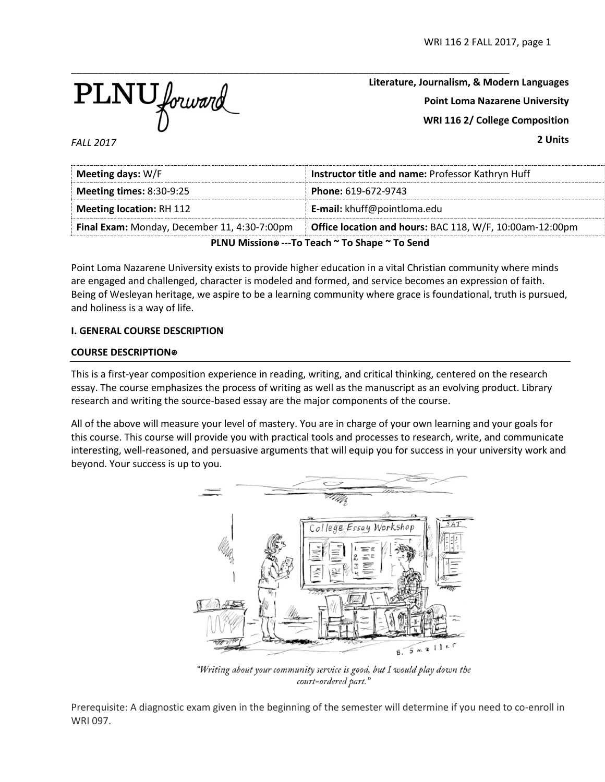

**Literature, Journalism, & Modern Languages Point Loma Nazarene University WRI 116 2/ College Composition 2 Units**

*FALL 2017*

| Meeting days: W/F                                                        | Instructor title and name: Professor Kathryn Huff        |  |  |
|--------------------------------------------------------------------------|----------------------------------------------------------|--|--|
| <b>Meeting times: 8:30-9:25</b>                                          | Phone: 619-672-9743                                      |  |  |
| <b>Meeting location: RH 112</b>                                          | <b>E-mail:</b> khuff@pointloma.edu                       |  |  |
| Final Exam: Monday, December 11, 4:30-7:00pm                             | Office location and hours: BAC 118, W/F, 10:00am-12:00pm |  |  |
| $DI$ NUL Mission $\otimes$ To Togsh $\approx$ To Shang $\approx$ To Sand |                                                          |  |  |

**PLNU Mission**⍟ **---To Teach ~ To Shape ~ To Send**

Point Loma Nazarene University exists to provide higher education in a vital Christian community where minds are engaged and challenged, character is modeled and formed, and service becomes an expression of faith. Being of Wesleyan heritage, we aspire to be a learning community where grace is foundational, truth is pursued, and holiness is a way of life.

### **I. GENERAL COURSE DESCRIPTION**

### **COURSE DESCRIPTION**⍟

This is a first-year composition experience in reading, writing, and critical thinking, centered on the research essay. The course emphasizes the process of writing as well as the manuscript as an evolving product. Library research and writing the source-based essay are the major components of the course.

All of the above will measure your level of mastery. You are in charge of your own learning and your goals for this course. This course will provide you with practical tools and processes to research, write, and communicate interesting, well-reasoned, and persuasive arguments that will equip you for success in your university work and beyond. Your success is up to you.



"Writing about your community service is good, but I would play down the court-ordered part."

Prerequisite: A diagnostic exam given in the beginning of the semester will determine if you need to co-enroll in WRI 097.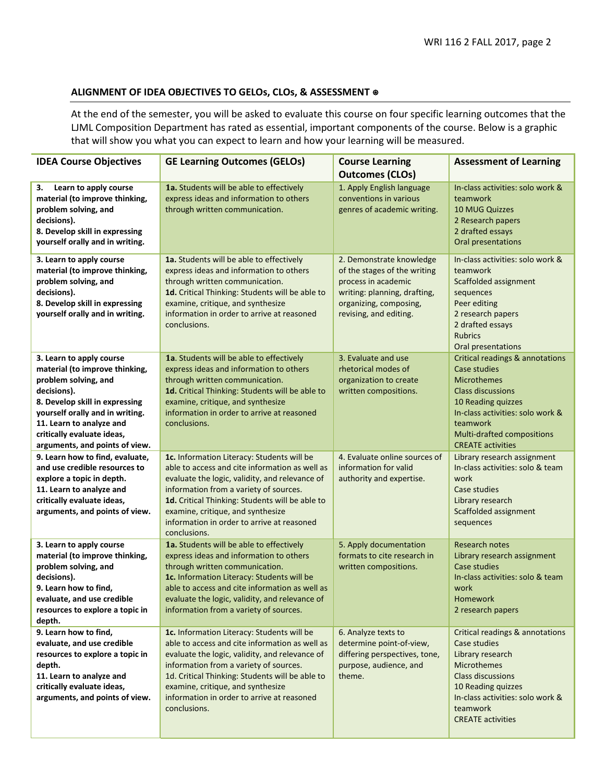## **ALIGNMENT OF IDEA OBJECTIVES TO GELOs, CLOs, & ASSESSMENT** ⍟

At the end of the semester, you will be asked to evaluate this course on four specific learning outcomes that the LJML Composition Department has rated as essential, important components of the course. Below is a graphic that will show you what you can expect to learn and how your learning will be measured.

| <b>IDEA Course Objectives</b>                                                                                                                                                                                                                                      | <b>GE Learning Outcomes (GELOs)</b>                                                                                                                                                                                                                                                                                                            | <b>Course Learning</b><br><b>Outcomes (CLOs)</b>                                                                                                                    | <b>Assessment of Learning</b>                                                                                                                                                                                                                       |
|--------------------------------------------------------------------------------------------------------------------------------------------------------------------------------------------------------------------------------------------------------------------|------------------------------------------------------------------------------------------------------------------------------------------------------------------------------------------------------------------------------------------------------------------------------------------------------------------------------------------------|---------------------------------------------------------------------------------------------------------------------------------------------------------------------|-----------------------------------------------------------------------------------------------------------------------------------------------------------------------------------------------------------------------------------------------------|
| 3.<br>Learn to apply course<br>material (to improve thinking,<br>problem solving, and<br>decisions).<br>8. Develop skill in expressing<br>yourself orally and in writing.                                                                                          | 1a. Students will be able to effectively<br>express ideas and information to others<br>through written communication.                                                                                                                                                                                                                          | 1. Apply English language<br>conventions in various<br>genres of academic writing.                                                                                  | In-class activities: solo work &<br>teamwork<br><b>10 MUG Quizzes</b><br>2 Research papers<br>2 drafted essays<br>Oral presentations                                                                                                                |
| 3. Learn to apply course<br>material (to improve thinking,<br>problem solving, and<br>decisions).<br>8. Develop skill in expressing<br>yourself orally and in writing.                                                                                             | 1a. Students will be able to effectively<br>express ideas and information to others<br>through written communication.<br>1d. Critical Thinking: Students will be able to<br>examine, critique, and synthesize<br>information in order to arrive at reasoned<br>conclusions.                                                                    | 2. Demonstrate knowledge<br>of the stages of the writing<br>process in academic<br>writing: planning, drafting,<br>organizing, composing,<br>revising, and editing. | In-class activities: solo work &<br>teamwork<br>Scaffolded assignment<br>sequences<br>Peer editing<br>2 research papers<br>2 drafted essays<br><b>Rubrics</b><br>Oral presentations                                                                 |
| 3. Learn to apply course<br>material (to improve thinking,<br>problem solving, and<br>decisions).<br>8. Develop skill in expressing<br>yourself orally and in writing.<br>11. Learn to analyze and<br>critically evaluate ideas,<br>arguments, and points of view. | 1a. Students will be able to effectively<br>express ideas and information to others<br>through written communication.<br>1d. Critical Thinking: Students will be able to<br>examine, critique, and synthesize<br>information in order to arrive at reasoned<br>conclusions.                                                                    | 3. Evaluate and use<br>rhetorical modes of<br>organization to create<br>written compositions.                                                                       | <b>Critical readings &amp; annotations</b><br><b>Case studies</b><br><b>Microthemes</b><br><b>Class discussions</b><br>10 Reading quizzes<br>In-class activities: solo work &<br>teamwork<br>Multi-drafted compositions<br><b>CREATE activities</b> |
| 9. Learn how to find, evaluate,<br>and use credible resources to<br>explore a topic in depth.<br>11. Learn to analyze and<br>critically evaluate ideas,<br>arguments, and points of view.                                                                          | 1c. Information Literacy: Students will be<br>able to access and cite information as well as<br>evaluate the logic, validity, and relevance of<br>information from a variety of sources.<br>1d. Critical Thinking: Students will be able to<br>examine, critique, and synthesize<br>information in order to arrive at reasoned<br>conclusions. | 4. Evaluate online sources of<br>information for valid<br>authority and expertise.                                                                                  | Library research assignment<br>In-class activities: solo & team<br>work<br>Case studies<br>Library research<br>Scaffolded assignment<br>sequences                                                                                                   |
| 3. Learn to apply course<br>material (to improve thinking,<br>problem solving, and<br>decisions).<br>9. Learn how to find.<br>evaluate, and use credible<br>resources to explore a topic in<br>depth.                                                              | 1a. Students will be able to effectively<br>express ideas and information to others<br>through written communication.<br>1c. Information Literacy: Students will be<br>able to access and cite information as well as<br>evaluate the logic, validity, and relevance of<br>information from a variety of sources.                              | 5. Apply documentation<br>formats to cite research in<br>written compositions.                                                                                      | <b>Research notes</b><br>Library research assignment<br><b>Case studies</b><br>In-class activities: solo & team<br>work<br><b>Homework</b><br>2 research papers                                                                                     |
| 9. Learn how to find,<br>evaluate, and use credible<br>resources to explore a topic in<br>depth.<br>11. Learn to analyze and<br>critically evaluate ideas,<br>arguments, and points of view.                                                                       | 1c. Information Literacy: Students will be<br>able to access and cite information as well as<br>evaluate the logic, validity, and relevance of<br>information from a variety of sources.<br>1d. Critical Thinking: Students will be able to<br>examine, critique, and synthesize<br>information in order to arrive at reasoned<br>conclusions. | 6. Analyze texts to<br>determine point-of-view,<br>differing perspectives, tone,<br>purpose, audience, and<br>theme.                                                | Critical readings & annotations<br>Case studies<br>Library research<br><b>Microthemes</b><br><b>Class discussions</b><br>10 Reading quizzes<br>In-class activities: solo work &<br>teamwork<br><b>CREATE activities</b>                             |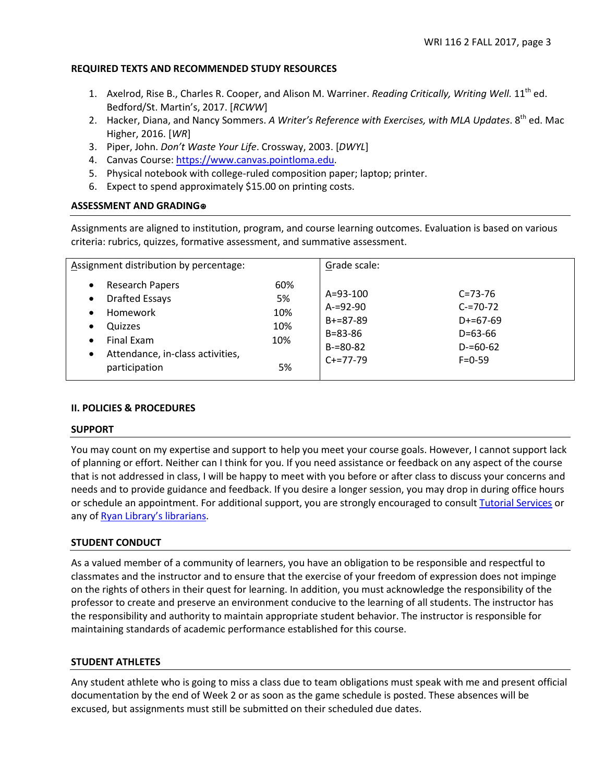### **REQUIRED TEXTS AND RECOMMENDED STUDY RESOURCES**

- 1. Axelrod, Rise B., Charles R. Cooper, and Alison M. Warriner. *Reading Critically, Writing Well*. 11<sup>th</sup> ed. Bedford/St. Martin's, 2017. [*RCWW*]
- 2. Hacker, Diana, and Nancy Sommers. *A Writer's Reference with Exercises, with MLA Updates*. 8th ed. Mac Higher, 2016. [*WR*]
- 3. Piper, John. *Don't Waste Your Life*. Crossway, 2003. [*DWYL*]
- 4. Canvas Course: [https://www.canvas.pointloma.edu.](https://www.canvas.pointloma.edu/)
- 5. Physical notebook with college-ruled composition paper; laptop; printer.
- 6. Expect to spend approximately \$15.00 on printing costs.

## **ASSESSMENT AND GRADING**⍟

Assignments are aligned to institution, program, and course learning outcomes. Evaluation is based on various criteria: rubrics, quizzes, formative assessment, and summative assessment.

| Assignment distribution by percentage:                                                                                                                                                                                 |                                      | Grade scale:                                                                                       |                                                                                            |
|------------------------------------------------------------------------------------------------------------------------------------------------------------------------------------------------------------------------|--------------------------------------|----------------------------------------------------------------------------------------------------|--------------------------------------------------------------------------------------------|
| <b>Research Papers</b><br>$\bullet$<br><b>Drafted Essays</b><br>$\bullet$<br>Homework<br>$\bullet$<br>Quizzes<br>٠<br><b>Final Exam</b><br>$\bullet$<br>Attendance, in-class activities,<br>$\bullet$<br>participation | 60%<br>5%<br>10%<br>10%<br>10%<br>5% | $A = 93 - 100$<br>$A = 92 - 90$<br>$B + = 87 - 89$<br>$B = 83 - 86$<br>$B = 80 - 82$<br>$C+=77-79$ | $C = 73 - 76$<br>$C = 70 - 72$<br>$D+=67-69$<br>$D=63-66$<br>$D = 60 - 62$<br>$F = 0 - 59$ |

## **II. POLICIES & PROCEDURES**

### **SUPPORT**

You may count on my expertise and support to help you meet your course goals. However, I cannot support lack of planning or effort. Neither can I think for you. If you need assistance or feedback on any aspect of the course that is not addressed in class, I will be happy to meet with you before or after class to discuss your concerns and needs and to provide guidance and feedback. If you desire a longer session, you may drop in during office hours or schedule an appointment. For additional support, you are strongly encouraged to consul[t Tutorial Services](http://www.pointloma.edu/experience/offices/student-services/tutorial-services/services) or any of [Ryan Library's librarians.](http://www.pointloma.edu/ryanlibrary)

## **STUDENT CONDUCT**

As a valued member of a community of learners, you have an obligation to be responsible and respectful to classmates and the instructor and to ensure that the exercise of your freedom of expression does not impinge on the rights of others in their quest for learning. In addition, you must acknowledge the responsibility of the professor to create and preserve an environment conducive to the learning of all students. The instructor has the responsibility and authority to maintain appropriate student behavior. The instructor is responsible for maintaining standards of academic performance established for this course.

### **STUDENT ATHLETES**

Any student athlete who is going to miss a class due to team obligations must speak with me and present official documentation by the end of Week 2 or as soon as the game schedule is posted. These absences will be excused, but assignments must still be submitted on their scheduled due dates.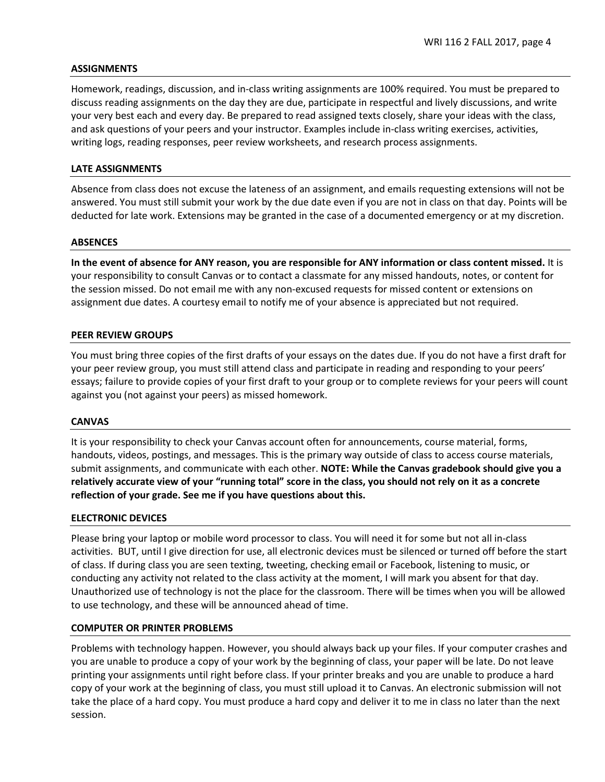### **ASSIGNMENTS**

Homework, readings, discussion, and in-class writing assignments are 100% required. You must be prepared to discuss reading assignments on the day they are due, participate in respectful and lively discussions, and write your very best each and every day. Be prepared to read assigned texts closely, share your ideas with the class, and ask questions of your peers and your instructor. Examples include in-class writing exercises, activities, writing logs, reading responses, peer review worksheets, and research process assignments.

### **LATE ASSIGNMENTS**

Absence from class does not excuse the lateness of an assignment, and emails requesting extensions will not be answered. You must still submit your work by the due date even if you are not in class on that day. Points will be deducted for late work. Extensions may be granted in the case of a documented emergency or at my discretion.

#### **ABSENCES**

**In the event of absence for ANY reason, you are responsible for ANY information or class content missed.** It is your responsibility to consult Canvas or to contact a classmate for any missed handouts, notes, or content for the session missed. Do not email me with any non-excused requests for missed content or extensions on assignment due dates. A courtesy email to notify me of your absence is appreciated but not required.

#### **PEER REVIEW GROUPS**

You must bring three copies of the first drafts of your essays on the dates due. If you do not have a first draft for your peer review group, you must still attend class and participate in reading and responding to your peers' essays; failure to provide copies of your first draft to your group or to complete reviews for your peers will count against you (not against your peers) as missed homework.

#### **CANVAS**

It is your responsibility to check your Canvas account often for announcements, course material, forms, handouts, videos, postings, and messages. This is the primary way outside of class to access course materials, submit assignments, and communicate with each other. **NOTE: While the Canvas gradebook should give you a relatively accurate view of your "running total" score in the class, you should not rely on it as a concrete reflection of your grade. See me if you have questions about this.** 

### **ELECTRONIC DEVICES**

Please bring your laptop or mobile word processor to class. You will need it for some but not all in-class activities. BUT, until I give direction for use, all electronic devices must be silenced or turned off before the start of class. If during class you are seen texting, tweeting, checking email or Facebook, listening to music, or conducting any activity not related to the class activity at the moment, I will mark you absent for that day. Unauthorized use of technology is not the place for the classroom. There will be times when you will be allowed to use technology, and these will be announced ahead of time.

### **COMPUTER OR PRINTER PROBLEMS**

Problems with technology happen. However, you should always back up your files. If your computer crashes and you are unable to produce a copy of your work by the beginning of class, your paper will be late. Do not leave printing your assignments until right before class. If your printer breaks and you are unable to produce a hard copy of your work at the beginning of class, you must still upload it to Canvas. An electronic submission will not take the place of a hard copy. You must produce a hard copy and deliver it to me in class no later than the next session.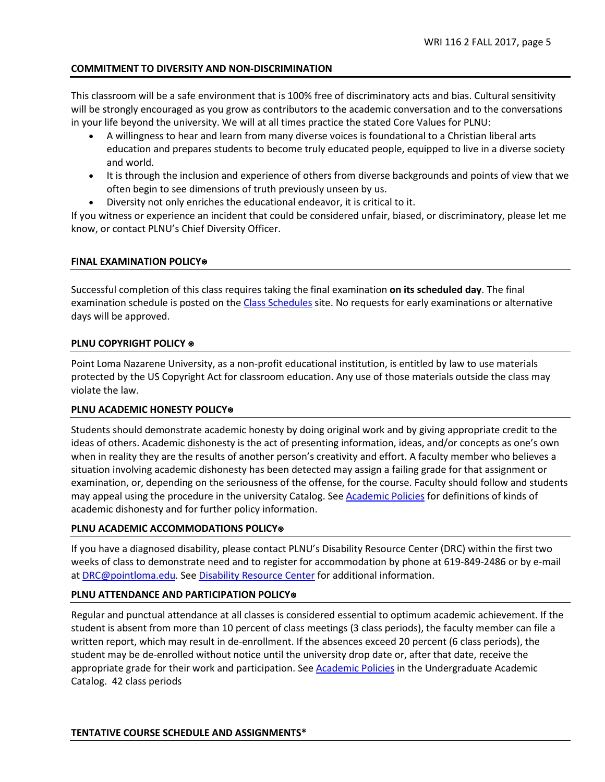# **COMMITMENT TO DIVERSITY AND NON-DISCRIMINATION**

This classroom will be a safe environment that is 100% free of discriminatory acts and bias. Cultural sensitivity will be strongly encouraged as you grow as contributors to the academic conversation and to the conversations in your life beyond the university. We will at all times practice the stated Core Values for PLNU:

- A willingness to hear and learn from many diverse voices is foundational to a Christian liberal arts education and prepares students to become truly educated people, equipped to live in a diverse society and world.
- It is through the inclusion and experience of others from diverse backgrounds and points of view that we often begin to see dimensions of truth previously unseen by us.
- Diversity not only enriches the educational endeavor, it is critical to it.

If you witness or experience an incident that could be considered unfair, biased, or discriminatory, please let me know, or contact PLNU's Chief Diversity Officer.

## **FINAL EXAMINATION POLICY**⍟

Successful completion of this class requires taking the final examination **on its scheduled day**. The final examination schedule is posted on th[e Class Schedules](http://www.pointloma.edu/experience/academics/class-schedules) site. No requests for early examinations or alternative days will be approved.

## **PLNU COPYRIGHT POLICY ⊕**

Point Loma Nazarene University, as a non-profit educational institution, is entitled by law to use materials protected by the US Copyright Act for classroom education. Any use of those materials outside the class may violate the law.

## **PLNU ACADEMIC HONESTY POLICY**⍟

Students should demonstrate academic honesty by doing original work and by giving appropriate credit to the ideas of others. Academic dishonesty is the act of presenting information, ideas, and/or concepts as one's own when in reality they are the results of another person's creativity and effort. A faculty member who believes a situation involving academic dishonesty has been detected may assign a failing grade for that assignment or examination, or, depending on the seriousness of the offense, for the course. Faculty should follow and students may appeal using the procedure in the university Catalog. See **Academic Policies** for definitions of kinds of academic dishonesty and for further policy information.

## **PLNU ACADEMIC ACCOMMODATIONS POLICY**⍟

If you have a diagnosed disability, please contact PLNU's Disability Resource Center (DRC) within the first two weeks of class to demonstrate need and to register for accommodation by phone at 619-849-2486 or by e-mail at [DRC@pointloma.edu.](mailto:DRC@pointloma.edu) See [Disability Resource Center](http://www.pointloma.edu/experience/offices/administrative-offices/academic-advising-office/disability-resource-center) for additional information.

## **PLNU ATTENDANCE AND PARTICIPATION POLICY**⍟

Regular and punctual attendance at all classes is considered essential to optimum academic achievement. If the student is absent from more than 10 percent of class meetings (3 class periods), the faculty member can file a written report, which may result in de-enrollment. If the absences exceed 20 percent (6 class periods), the student may be de-enrolled without notice until the university drop date or, after that date, receive the appropriate grade for their work and participation. See [Academic Policies](http://catalog.pointloma.edu/content.php?catoid=18&navoid=1278) in the Undergraduate Academic Catalog. 42 class periods